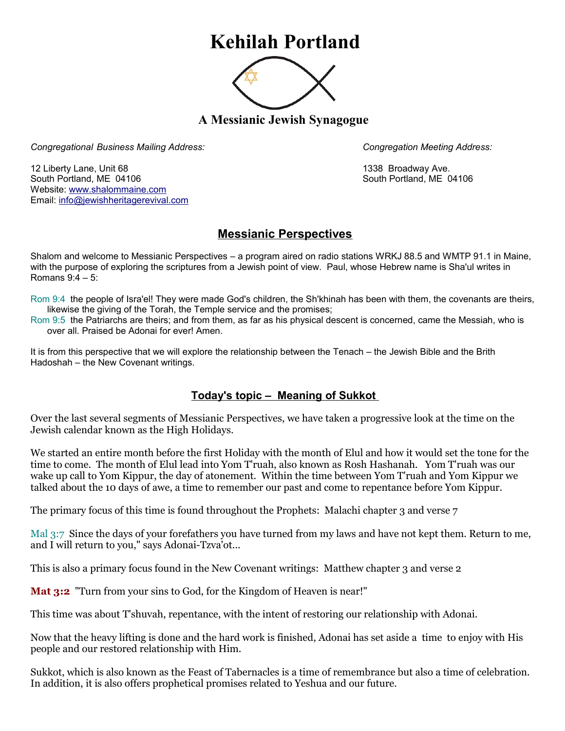## **Kehilah Portland**



**A Messianic Jewish Synagogue** 

*Congregational Business Mailing Address: Congregation Meeting Address:*

12 Liberty Lane, Unit 68 1338 Broadway Ave. South Portland, ME 04106 South Portland, ME 04106 Website: [www.shalommaine.com](http://www.shalommaine.com/) Email: [info@jewishheritagerevival.com](mailto:info@jewishheritagerevival.com) 

## **Messianic Perspectives**

Shalom and welcome to Messianic Perspectives – a program aired on radio stations WRKJ 88.5 and WMTP 91.1 in Maine, with the purpose of exploring the scriptures from a Jewish point of view. Paul, whose Hebrew name is Sha'ul writes in Romans 9:4 – 5:

Rom 9:4 the people of Isra'el! They were made God's children, the Sh'khinah has been with them, the covenants are theirs, likewise the giving of the Torah, the Temple service and the promises;

Rom 9:5 the Patriarchs are theirs; and from them, as far as his physical descent is concerned, came the Messiah, who is over all. Praised be Adonai for ever! Amen.

It is from this perspective that we will explore the relationship between the Tenach – the Jewish Bible and the Brith Hadoshah – the New Covenant writings.

## **Today's topic – Meaning of Sukkot**

Over the last several segments of Messianic Perspectives, we have taken a progressive look at the time on the Jewish calendar known as the High Holidays.

We started an entire month before the first Holiday with the month of Elul and how it would set the tone for the time to come. The month of Elul lead into Yom T'ruah, also known as Rosh Hashanah. Yom T'ruah was our wake up call to Yom Kippur, the day of atonement. Within the time between Yom T'ruah and Yom Kippur we talked about the 10 days of awe, a time to remember our past and come to repentance before Yom Kippur.

The primary focus of this time is found throughout the Prophets: Malachi chapter 3 and verse 7

Mal 3:7 Since the days of your forefathers you have turned from my laws and have not kept them. Return to me, and I will return to you," says Adonai-Tzva'ot...

This is also a primary focus found in the New Covenant writings: Matthew chapter 3 and verse 2

**Mat 3:2** "Turn from your sins to God, for the Kingdom of Heaven is near!"

This time was about T'shuvah, repentance, with the intent of restoring our relationship with Adonai.

Now that the heavy lifting is done and the hard work is finished, Adonai has set aside a time to enjoy with His people and our restored relationship with Him.

Sukkot, which is also known as the Feast of Tabernacles is a time of remembrance but also a time of celebration. In addition, it is also offers prophetical promises related to Yeshua and our future.